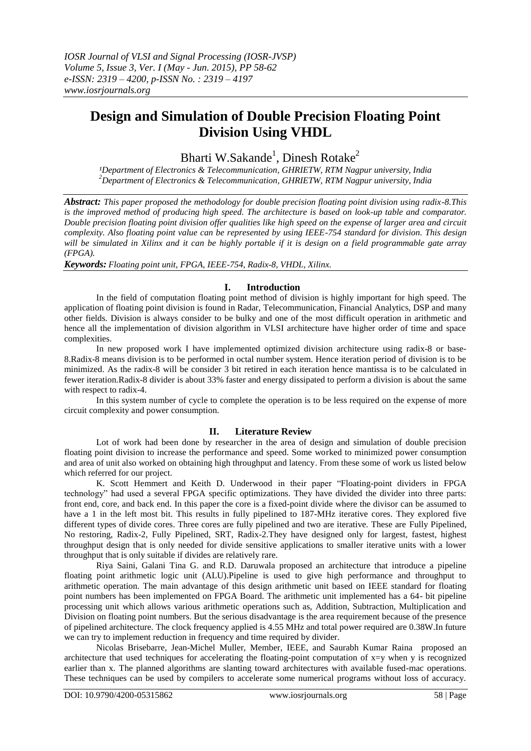# **Design and Simulation of Double Precision Floating Point Division Using VHDL**

Bharti W.Sakande<sup>1</sup>, Dinesh Rotake<sup>2</sup>

*¹Department of Electronics & Telecommunication, GHRIETW, RTM Nagpur university, India <sup>2</sup>Department of Electronics & Telecommunication, GHRIETW, RTM Nagpur university, India*

*Abstract: This paper proposed the methodology for double precision floating point division using radix-8.This*  is the improved method of producing high speed. The architecture is based on look-up table and comparator. *Double precision floating point division offer qualities like high speed on the expense of larger area and circuit complexity. Also floating point value can be represented by using IEEE-754 standard for division. This design will be simulated in Xilinx and it can be highly portable if it is design on a field programmable gate array (FPGA).*

*Keywords: Floating point unit, FPGA, IEEE-754, Radix-8, VHDL, Xilinx.*

## **I. Introduction**

In the field of computation floating point method of division is highly important for high speed. The application of floating point division is found in Radar, Telecommunication, Financial Analytics, DSP and many other fields. Division is always consider to be bulky and one of the most difficult operation in arithmetic and hence all the implementation of division algorithm in VLSI architecture have higher order of time and space complexities.

In new proposed work I have implemented optimized division architecture using radix-8 or base-8.Radix-8 means division is to be performed in octal number system. Hence iteration period of division is to be minimized. As the radix-8 will be consider 3 bit retired in each iteration hence mantissa is to be calculated in fewer iteration.Radix-8 divider is about 33% faster and energy dissipated to perform a division is about the same with respect to radix-4.

In this system number of cycle to complete the operation is to be less required on the expense of more circuit complexity and power consumption.

## **II. Literature Review**

Lot of work had been done by researcher in the area of design and simulation of double precision floating point division to increase the performance and speed. Some worked to minimized power consumption and area of unit also worked on obtaining high throughput and latency. From these some of work us listed below which referred for our project.

K. Scott Hemmert and Keith D. Underwood in their paper "Floating-point dividers in FPGA technology" had used a several FPGA specific optimizations. They have divided the divider into three parts: front end, core, and back end. In this paper the core is a fixed-point divide where the divisor can be assumed to have a 1 in the left most bit. This results in fully pipelined to 187-MHz iterative cores. They explored five different types of divide cores. Three cores are fully pipelined and two are iterative. These are Fully Pipelined, No restoring, Radix-2, Fully Pipelined, SRT, Radix-2.They have designed only for largest, fastest, highest throughput design that is only needed for divide sensitive applications to smaller iterative units with a lower throughput that is only suitable if divides are relatively rare.

Riya Saini, Galani Tina G. and R.D. Daruwala proposed an architecture that introduce a pipeline floating point arithmetic logic unit (ALU).Pipeline is used to give high performance and throughput to arithmetic operation. The main advantage of this design arithmetic unit based on IEEE standard for floating point numbers has been implemented on FPGA Board. The arithmetic unit implemented has a 64- bit pipeline processing unit which allows various arithmetic operations such as, Addition, Subtraction, Multiplication and Division on floating point numbers. But the serious disadvantage is the area requirement because of the presence of pipelined architecture. The clock frequency applied is 4.55 MHz and total power required are 0.38W.In future we can try to implement reduction in frequency and time required by divider.

Nicolas Brisebarre, Jean-Michel Muller, Member, IEEE, and Saurabh Kumar Raina proposed an architecture that used techniques for accelerating the floating-point computation of x=y when y is recognized earlier than x. The planned algorithms are slanting toward architectures with available fused-mac operations. These techniques can be used by compilers to accelerate some numerical programs without loss of accuracy.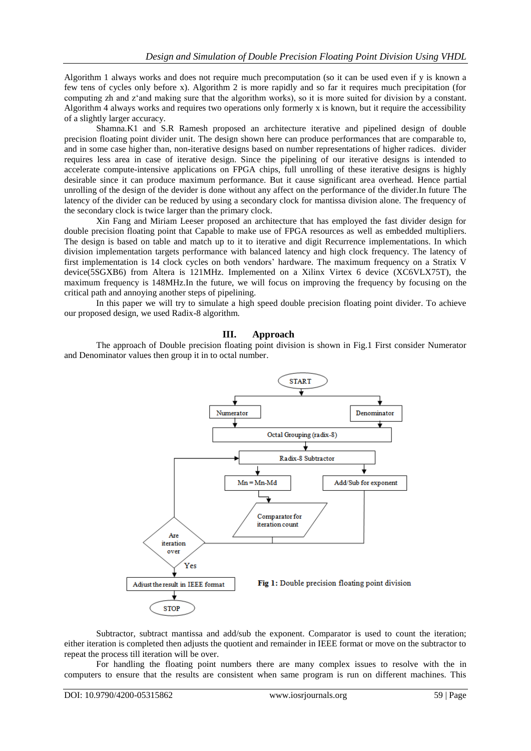Algorithm 1 always works and does not require much precomputation (so it can be used even if y is known a few tens of cycles only before x). Algorithm 2 is more rapidly and so far it requires much precipitation (for computing zh and z"and making sure that the algorithm works), so it is more suited for division by a constant. Algorithm 4 always works and requires two operations only formerly x is known, but it require the accessibility of a slightly larger accuracy.

Shamna.K1 and S.R Ramesh proposed an architecture iterative and pipelined design of double precision floating point divider unit. The design shown here can produce performances that are comparable to, and in some case higher than, non-iterative designs based on number representations of higher radices. divider requires less area in case of iterative design. Since the pipelining of our iterative designs is intended to accelerate compute-intensive applications on FPGA chips, full unrolling of these iterative designs is highly desirable since it can produce maximum performance. But it cause significant area overhead. Hence partial unrolling of the design of the devider is done without any affect on the performance of the divider.In future The latency of the divider can be reduced by using a secondary clock for mantissa division alone. The frequency of the secondary clock is twice larger than the primary clock.

Xin Fang and Miriam Leeser proposed an architecture that has employed the fast divider design for double precision floating point that Capable to make use of FPGA resources as well as embedded multipliers. The design is based on table and match up to it to iterative and digit Recurrence implementations. In which division implementation targets performance with balanced latency and high clock frequency. The latency of first implementation is 14 clock cycles on both vendors" hardware. The maximum frequency on a Stratix V device(5SGXB6) from Altera is 121MHz. Implemented on a Xilinx Virtex 6 device (XC6VLX75T), the maximum frequency is 148MHz.In the future, we will focus on improving the frequency by focusing on the critical path and annoying another steps of pipelining.

In this paper we will try to simulate a high speed double precision floating point divider. To achieve our proposed design, we used Radix-8 algorithm.

## **III. Approach**

The approach of Double precision floating point division is shown in Fig.1 First consider Numerator and Denominator values then group it in to octal number.



Subtractor, subtract mantissa and add/sub the exponent. Comparator is used to count the iteration; either iteration is completed then adjusts the quotient and remainder in IEEE format or move on the subtractor to repeat the process till iteration will be over.

For handling the floating point numbers there are many complex issues to resolve with the in computers to ensure that the results are consistent when same program is run on different machines. This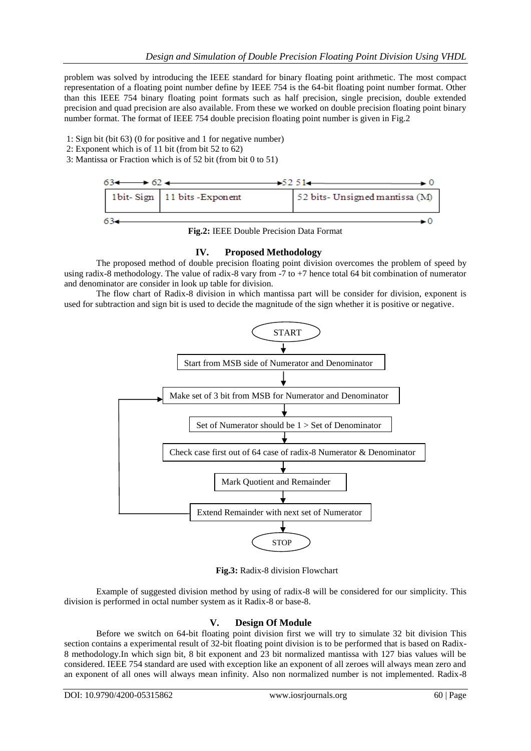problem was solved by introducing the IEEE standard for binary floating point arithmetic. The most compact representation of a floating point number define by IEEE 754 is the 64-bit floating point number format. Other than this IEEE 754 binary floating point formats such as half precision, single precision, double extended precision and quad precision are also available. From these we worked on double precision floating point binary number format. The format of IEEE 754 double precision floating point number is given in Fig.2

- 1: Sign bit (bit 63) (0 for positive and 1 for negative number)
- 2: Exponent which is of 11 bit (from bit 52 to 62)
- 3: Mantissa or Fraction which is of 52 bit (from bit 0 to 51)



**Fig.2:** IEEE Double Precision Data Format

## **IV. Proposed Methodology**

The proposed method of double precision floating point division overcomes the problem of speed by using radix-8 methodology. The value of radix-8 vary from -7 to +7 hence total 64 bit combination of numerator and denominator are consider in look up table for division.

The flow chart of Radix-8 division in which mantissa part will be consider for division, exponent is used for subtraction and sign bit is used to decide the magnitude of the sign whether it is positive or negative.



**Fig.3:** Radix-8 division Flowchart

Example of suggested division method by using of radix-8 will be considered for our simplicity. This division is performed in octal number system as it Radix-8 or base-8.

## **V. Design Of Module**

Before we switch on 64-bit floating point division first we will try to simulate 32 bit division This section contains a experimental result of 32-bit floating point division is to be performed that is based on Radix-8 methodology.In which sign bit, 8 bit exponent and 23 bit normalized mantissa with 127 bias values will be considered. IEEE 754 standard are used with exception like an exponent of all zeroes will always mean zero and an exponent of all ones will always mean infinity. Also non normalized number is not implemented. Radix-8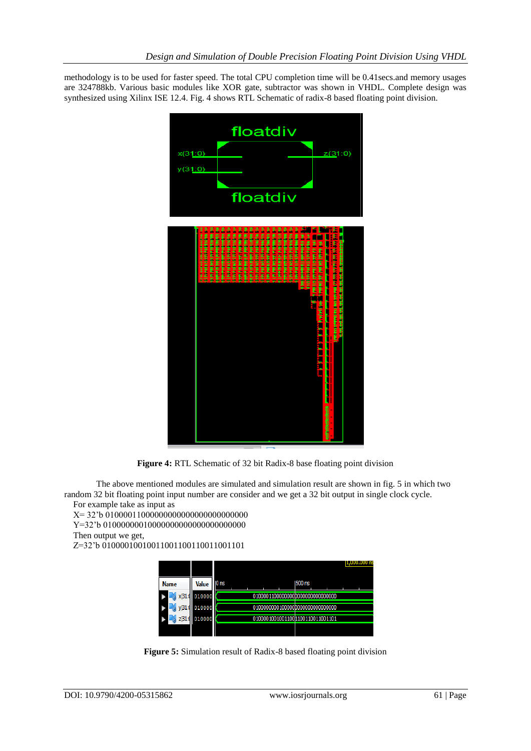methodology is to be used for faster speed. The total CPU completion time will be 0.41secs.and memory usages are 324788kb. Various basic modules like XOR gate, subtractor was shown in VHDL. Complete design was synthesized using Xilinx ISE 12.4. Fig. 4 shows RTL Schematic of radix-8 based floating point division.



**Figure 4:** RTL Schematic of 32 bit Radix-8 base floating point division

The above mentioned modules are simulated and simulation result are shown in fig. 5 in which two random 32 bit floating point input number are consider and we get a 32 bit output in single clock cycle. For example take as input as

X= 32"b 01000011000000000000000000000000 Y=32"b 01000000010000000000000000000000 Then output we get, Z=32"b 01000010010011001100110011001101

| <b>Name</b> | <b>Value</b> | 0 ns |                                   | 1500 ns |  |
|-------------|--------------|------|-----------------------------------|---------|--|
|             | 010000       |      | 010000110000000000000000000000000 |         |  |
|             | 010000       |      | 010000000010000000000000000000000 |         |  |
|             | 010000       |      | 010000100100110001100110011001101 |         |  |
|             |              |      |                                   |         |  |

**Figure 5:** Simulation result of Radix-8 based floating point division